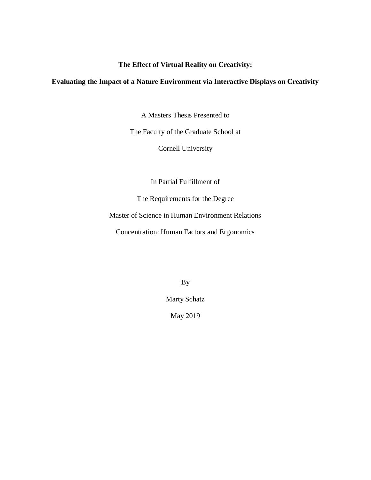# **The Effect of Virtual Reality on Creativity:**

# **Evaluating the Impact of a Nature Environment via Interactive Displays on Creativity**

A Masters Thesis Presented to

The Faculty of the Graduate School at

Cornell University

In Partial Fulfillment of

The Requirements for the Degree

Master of Science in Human Environment Relations

Concentration: Human Factors and Ergonomics

By

Marty Schatz

May 2019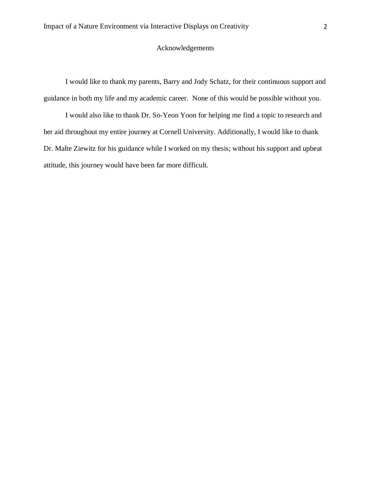# Acknowledgements

I would like to thank my parents, Barry and Jody Schatz, for their continuous support and guidance in both my life and my academic career. None of this would be possible without you.

I would also like to thank Dr. So-Yeon Yoon for helping me find a topic to research and her aid throughout my entire journey at Cornell University. Additionally, I would like to thank Dr. Malte Ziewitz for his guidance while I worked on my thesis; without his support and upbeat attitude, this journey would have been far more difficult.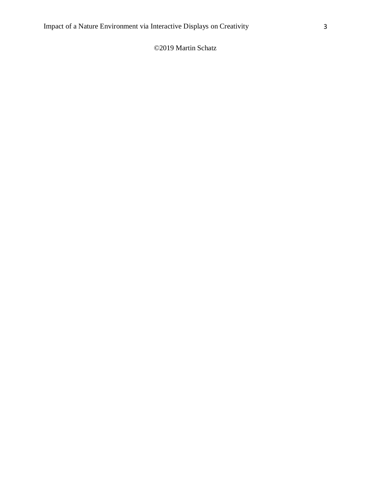# ©2019 Martin Schatz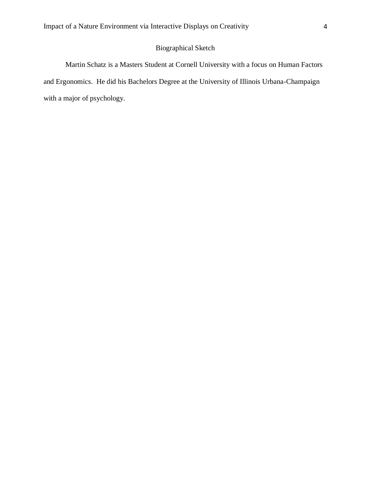# Biographical Sketch

Martin Schatz is a Masters Student at Cornell University with a focus on Human Factors and Ergonomics. He did his Bachelors Degree at the University of Illinois Urbana-Champaign with a major of psychology.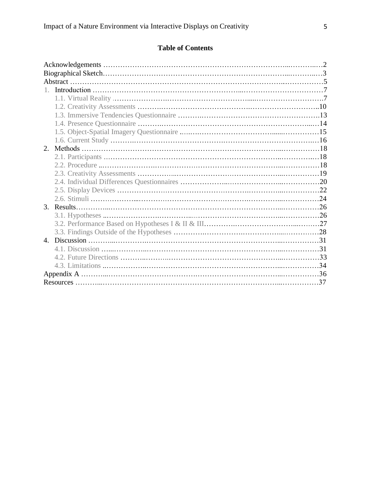# **Table of Contents**

| 2. |  |
|----|--|
|    |  |
|    |  |
|    |  |
|    |  |
|    |  |
|    |  |
|    |  |
|    |  |
|    |  |
|    |  |
|    |  |
|    |  |
|    |  |
|    |  |
|    |  |
|    |  |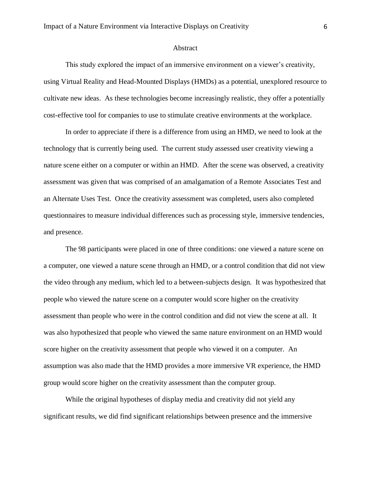#### Abstract

This study explored the impact of an immersive environment on a viewer's creativity, using Virtual Reality and Head-Mounted Displays (HMDs) as a potential, unexplored resource to cultivate new ideas. As these technologies become increasingly realistic, they offer a potentially cost-effective tool for companies to use to stimulate creative environments at the workplace.

In order to appreciate if there is a difference from using an HMD, we need to look at the technology that is currently being used. The current study assessed user creativity viewing a nature scene either on a computer or within an HMD. After the scene was observed, a creativity assessment was given that was comprised of an amalgamation of a Remote Associates Test and an Alternate Uses Test. Once the creativity assessment was completed, users also completed questionnaires to measure individual differences such as processing style, immersive tendencies, and presence.

The 98 participants were placed in one of three conditions: one viewed a nature scene on a computer, one viewed a nature scene through an HMD, or a control condition that did not view the video through any medium, which led to a between-subjects design. It was hypothesized that people who viewed the nature scene on a computer would score higher on the creativity assessment than people who were in the control condition and did not view the scene at all. It was also hypothesized that people who viewed the same nature environment on an HMD would score higher on the creativity assessment that people who viewed it on a computer. An assumption was also made that the HMD provides a more immersive VR experience, the HMD group would score higher on the creativity assessment than the computer group.

While the original hypotheses of display media and creativity did not yield any significant results, we did find significant relationships between presence and the immersive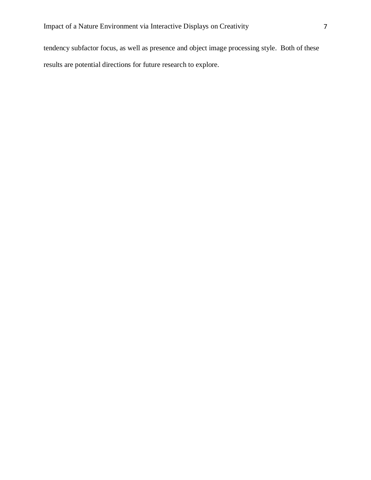tendency subfactor focus, as well as presence and object image processing style. Both of these results are potential directions for future research to explore.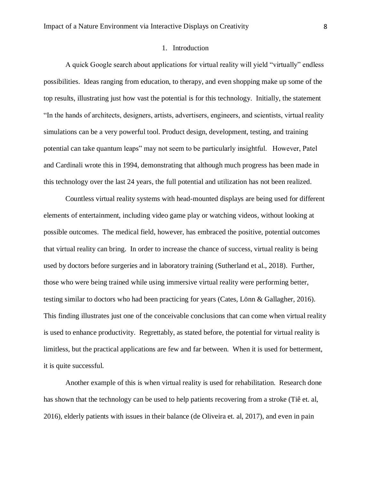# 1. Introduction

A quick Google search about applications for virtual reality will yield "virtually" endless possibilities. Ideas ranging from education, to therapy, and even shopping make up some of the top results, illustrating just how vast the potential is for this technology. Initially, the statement "In the hands of architects, designers, artists, advertisers, engineers, and scientists, virtual reality simulations can be a very powerful tool. Product design, development, testing, and training potential can take quantum leaps" may not seem to be particularly insightful. However, Patel and Cardinali wrote this in 1994, demonstrating that although much progress has been made in this technology over the last 24 years, the full potential and utilization has not been realized.

Countless virtual reality systems with head-mounted displays are being used for different elements of entertainment, including video game play or watching videos, without looking at possible outcomes. The medical field, however, has embraced the positive, potential outcomes that virtual reality can bring. In order to increase the chance of success, virtual reality is being used by doctors before surgeries and in laboratory training (Sutherland et al., 2018). Further, those who were being trained while using immersive virtual reality were performing better, testing similar to doctors who had been practicing for years (Cates, Lönn & Gallagher, 2016). This finding illustrates just one of the conceivable conclusions that can come when virtual reality is used to enhance productivity. Regrettably, as stated before, the potential for virtual reality is limitless, but the practical applications are few and far between. When it is used for betterment, it is quite successful.

Another example of this is when virtual reality is used for rehabilitation. Research done has shown that the technology can be used to help patients recovering from a stroke (Tiê et. al, 2016), elderly patients with issues in their balance (de Oliveira et. al, 2017), and even in pain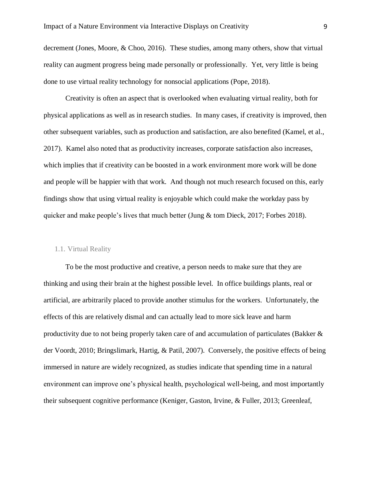decrement (Jones, Moore, & Choo, 2016). These studies, among many others, show that virtual reality can augment progress being made personally or professionally. Yet, very little is being done to use virtual reality technology for nonsocial applications (Pope, 2018).

Creativity is often an aspect that is overlooked when evaluating virtual reality, both for physical applications as well as in research studies. In many cases, if creativity is improved, then other subsequent variables, such as production and satisfaction, are also benefited (Kamel, et al., 2017). Kamel also noted that as productivity increases, corporate satisfaction also increases, which implies that if creativity can be boosted in a work environment more work will be done and people will be happier with that work. And though not much research focused on this, early findings show that using virtual reality is enjoyable which could make the workday pass by quicker and make people's lives that much better (Jung & tom Dieck, 2017; Forbes 2018).

### 1.1. Virtual Reality

To be the most productive and creative, a person needs to make sure that they are thinking and using their brain at the highest possible level. In office buildings plants, real or artificial, are arbitrarily placed to provide another stimulus for the workers. Unfortunately, the effects of this are relatively dismal and can actually lead to more sick leave and harm productivity due to not being properly taken care of and accumulation of particulates (Bakker  $\&$ der Voordt, 2010; Bringslimark, Hartig, & Patil, 2007). Conversely, the positive effects of being immersed in nature are widely recognized, as studies indicate that spending time in a natural environment can improve one's physical health, psychological well-being, and most importantly their subsequent cognitive performance (Keniger, Gaston, Irvine, & Fuller, 2013; Greenleaf,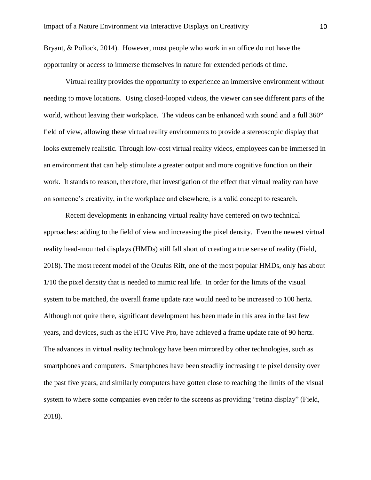Bryant, & Pollock, 2014). However, most people who work in an office do not have the opportunity or access to immerse themselves in nature for extended periods of time.

Virtual reality provides the opportunity to experience an immersive environment without needing to move locations. Using closed-looped videos, the viewer can see different parts of the world, without leaving their workplace. The videos can be enhanced with sound and a full 360° field of view, allowing these virtual reality environments to provide a stereoscopic display that looks extremely realistic. Through low-cost virtual reality videos, employees can be immersed in an environment that can help stimulate a greater output and more cognitive function on their work. It stands to reason, therefore, that investigation of the effect that virtual reality can have on someone's creativity, in the workplace and elsewhere, is a valid concept to research.

Recent developments in enhancing virtual reality have centered on two technical approaches: adding to the field of view and increasing the pixel density. Even the newest virtual reality head-mounted displays (HMDs) still fall short of creating a true sense of reality (Field, 2018). The most recent model of the Oculus Rift, one of the most popular HMDs, only has about 1/10 the pixel density that is needed to mimic real life. In order for the limits of the visual system to be matched, the overall frame update rate would need to be increased to 100 hertz. Although not quite there, significant development has been made in this area in the last few years, and devices, such as the HTC Vive Pro, have achieved a frame update rate of 90 hertz. The advances in virtual reality technology have been mirrored by other technologies, such as smartphones and computers. Smartphones have been steadily increasing the pixel density over the past five years, and similarly computers have gotten close to reaching the limits of the visual system to where some companies even refer to the screens as providing "retina display" (Field, 2018).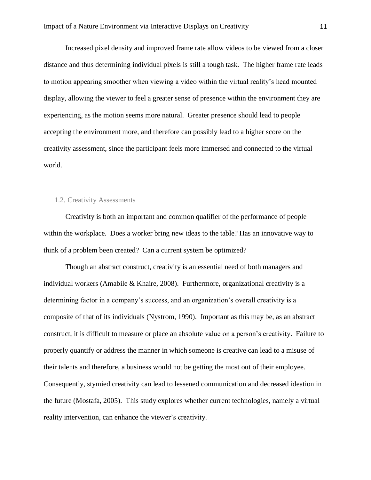Increased pixel density and improved frame rate allow videos to be viewed from a closer distance and thus determining individual pixels is still a tough task. The higher frame rate leads to motion appearing smoother when viewing a video within the virtual reality's head mounted display, allowing the viewer to feel a greater sense of presence within the environment they are experiencing, as the motion seems more natural. Greater presence should lead to people accepting the environment more, and therefore can possibly lead to a higher score on the creativity assessment, since the participant feels more immersed and connected to the virtual world.

## 1.2. Creativity Assessments

Creativity is both an important and common qualifier of the performance of people within the workplace. Does a worker bring new ideas to the table? Has an innovative way to think of a problem been created? Can a current system be optimized?

Though an abstract construct, creativity is an essential need of both managers and individual workers (Amabile  $&$  Khaire, 2008). Furthermore, organizational creativity is a determining factor in a company's success, and an organization's overall creativity is a composite of that of its individuals (Nystrom, 1990). Important as this may be, as an abstract construct, it is difficult to measure or place an absolute value on a person's creativity. Failure to properly quantify or address the manner in which someone is creative can lead to a misuse of their talents and therefore, a business would not be getting the most out of their employee. Consequently, stymied creativity can lead to lessened communication and decreased ideation in the future (Mostafa, 2005). This study explores whether current technologies, namely a virtual reality intervention, can enhance the viewer's creativity.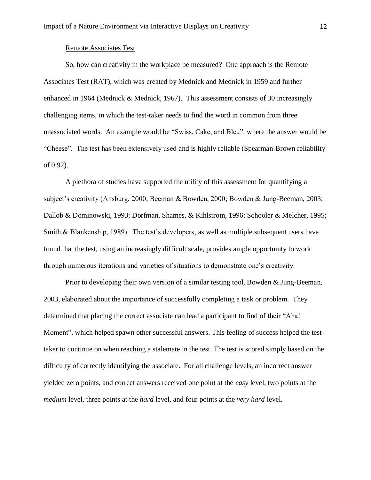### Remote Associates Test

So, how can creativity in the workplace be measured? One approach is the Remote Associates Test (RAT), which was created by Mednick and Mednick in 1959 and further enhanced in 1964 (Mednick & Mednick, 1967). This assessment consists of 30 increasingly challenging items, in which the test-taker needs to find the word in common from three unassociated words. An example would be "Swiss, Cake, and Bleu", where the answer would be "Cheese". The test has been extensively used and is highly reliable (Spearman-Brown reliability of 0.92).

A plethora of studies have supported the utility of this assessment for quantifying a subject's creativity (Ansburg, 2000; Beeman & Bowden, 2000; Bowden & Jung-Beeman, 2003; Dallob & Dominowski, 1993; Dorfman, Shames, & Kihlstrom, 1996; Schooler & Melcher, 1995; Smith & Blankenship, 1989). The test's developers, as well as multiple subsequent users have found that the test, using an increasingly difficult scale, provides ample opportunity to work through numerous iterations and varieties of situations to demonstrate one's creativity.

Prior to developing their own version of a similar testing tool, Bowden & Jung-Beeman, 2003, elaborated about the importance of successfully completing a task or problem. They determined that placing the correct associate can lead a participant to find of their "Aha! Moment", which helped spawn other successful answers. This feeling of success helped the testtaker to continue on when reaching a stalemate in the test. The test is scored simply based on the difficulty of correctly identifying the associate. For all challenge levels, an incorrect answer yielded zero points, and correct answers received one point at the *easy* level, two points at the *medium* level, three points at the *hard* level, and four points at the *very hard* level.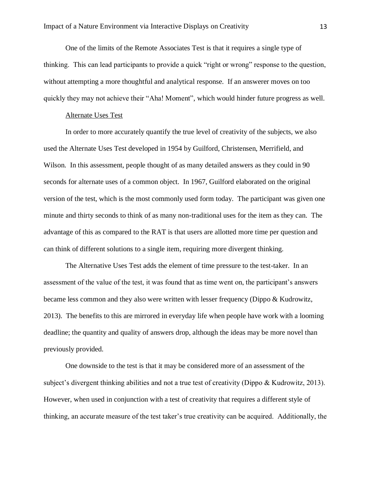One of the limits of the Remote Associates Test is that it requires a single type of thinking. This can lead participants to provide a quick "right or wrong" response to the question, without attempting a more thoughtful and analytical response. If an answerer moves on too quickly they may not achieve their "Aha! Moment", which would hinder future progress as well.

### Alternate Uses Test

In order to more accurately quantify the true level of creativity of the subjects, we also used the Alternate Uses Test developed in 1954 by Guilford, Christensen, Merrifield, and Wilson. In this assessment, people thought of as many detailed answers as they could in 90 seconds for alternate uses of a common object. In 1967, Guilford elaborated on the original version of the test, which is the most commonly used form today. The participant was given one minute and thirty seconds to think of as many non-traditional uses for the item as they can. The advantage of this as compared to the RAT is that users are allotted more time per question and can think of different solutions to a single item, requiring more divergent thinking.

The Alternative Uses Test adds the element of time pressure to the test-taker. In an assessment of the value of the test, it was found that as time went on, the participant's answers became less common and they also were written with lesser frequency (Dippo & Kudrowitz, 2013). The benefits to this are mirrored in everyday life when people have work with a looming deadline; the quantity and quality of answers drop, although the ideas may be more novel than previously provided.

One downside to the test is that it may be considered more of an assessment of the subject's divergent thinking abilities and not a true test of creativity (Dippo & Kudrowitz, 2013). However, when used in conjunction with a test of creativity that requires a different style of thinking, an accurate measure of the test taker's true creativity can be acquired. Additionally, the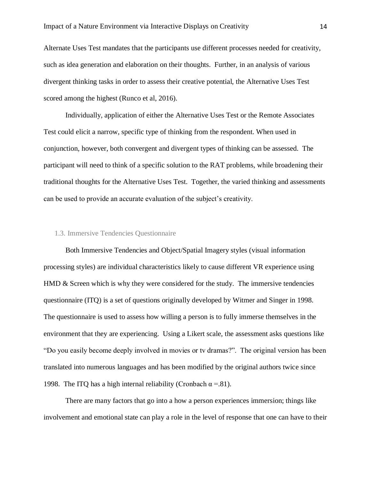Alternate Uses Test mandates that the participants use different processes needed for creativity, such as idea generation and elaboration on their thoughts. Further, in an analysis of various divergent thinking tasks in order to assess their creative potential, the Alternative Uses Test scored among the highest (Runco et al, 2016).

Individually, application of either the Alternative Uses Test or the Remote Associates Test could elicit a narrow, specific type of thinking from the respondent. When used in conjunction, however, both convergent and divergent types of thinking can be assessed. The participant will need to think of a specific solution to the RAT problems, while broadening their traditional thoughts for the Alternative Uses Test. Together, the varied thinking and assessments can be used to provide an accurate evaluation of the subject's creativity.

### 1.3. Immersive Tendencies Questionnaire

Both Immersive Tendencies and Object/Spatial Imagery styles (visual information processing styles) are individual characteristics likely to cause different VR experience using HMD & Screen which is why they were considered for the study. The immersive tendencies questionnaire (ITQ) is a set of questions originally developed by Witmer and Singer in 1998. The questionnaire is used to assess how willing a person is to fully immerse themselves in the environment that they are experiencing. Using a Likert scale, the assessment asks questions like "Do you easily become deeply involved in movies or tv dramas?". The original version has been translated into numerous languages and has been modified by the original authors twice since 1998. The ITQ has a high internal reliability (Cronbach  $\alpha = 81$ ).

There are many factors that go into a how a person experiences immersion; things like involvement and emotional state can play a role in the level of response that one can have to their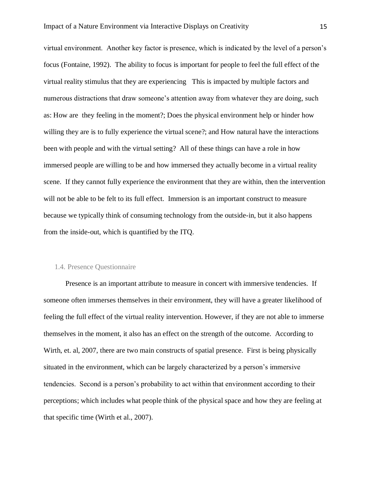virtual environment. Another key factor is presence, which is indicated by the level of a person's focus (Fontaine, 1992). The ability to focus is important for people to feel the full effect of the virtual reality stimulus that they are experiencing This is impacted by multiple factors and numerous distractions that draw someone's attention away from whatever they are doing, such as: How are they feeling in the moment?; Does the physical environment help or hinder how willing they are is to fully experience the virtual scene?; and How natural have the interactions been with people and with the virtual setting? All of these things can have a role in how immersed people are willing to be and how immersed they actually become in a virtual reality scene. If they cannot fully experience the environment that they are within, then the intervention will not be able to be felt to its full effect. Immersion is an important construct to measure because we typically think of consuming technology from the outside-in, but it also happens from the inside-out, which is quantified by the ITQ.

### 1.4. Presence Questionnaire

Presence is an important attribute to measure in concert with immersive tendencies. If someone often immerses themselves in their environment, they will have a greater likelihood of feeling the full effect of the virtual reality intervention. However, if they are not able to immerse themselves in the moment, it also has an effect on the strength of the outcome. According to Wirth, et. al, 2007, there are two main constructs of spatial presence. First is being physically situated in the environment, which can be largely characterized by a person's immersive tendencies. Second is a person's probability to act within that environment according to their perceptions; which includes what people think of the physical space and how they are feeling at that specific time (Wirth et al., 2007).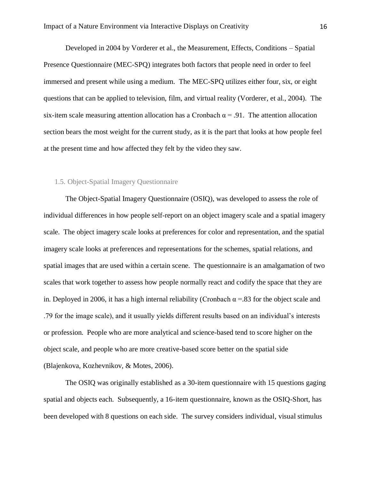Developed in 2004 by Vorderer et al., the Measurement, Effects, Conditions – Spatial Presence Questionnaire (MEC-SPQ) integrates both factors that people need in order to feel immersed and present while using a medium. The MEC-SPQ utilizes either four, six, or eight questions that can be applied to television, film, and virtual reality (Vorderer, et al., 2004). The six-item scale measuring attention allocation has a Cronbach  $\alpha = .91$ . The attention allocation section bears the most weight for the current study, as it is the part that looks at how people feel at the present time and how affected they felt by the video they saw.

### 1.5. Object-Spatial Imagery Questionnaire

The Object-Spatial Imagery Questionnaire (OSIQ), was developed to assess the role of individual differences in how people self-report on an object imagery scale and a spatial imagery scale. The object imagery scale looks at preferences for color and representation, and the spatial imagery scale looks at preferences and representations for the schemes, spatial relations, and spatial images that are used within a certain scene. The questionnaire is an amalgamation of two scales that work together to assess how people normally react and codify the space that they are in. Deployed in 2006, it has a high internal reliability (Cronbach  $\alpha$  = 83 for the object scale and .79 for the image scale), and it usually yields different results based on an individual's interests or profession. People who are more analytical and science-based tend to score higher on the object scale, and people who are more creative-based score better on the spatial side (Blajenkova, Kozhevnikov, & Motes, 2006).

The OSIQ was originally established as a 30-item questionnaire with 15 questions gaging spatial and objects each. Subsequently, a 16-item questionnaire, known as the OSIQ-Short, has been developed with 8 questions on each side. The survey considers individual, visual stimulus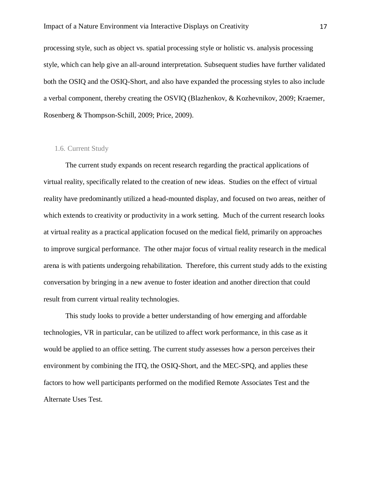processing style, such as object vs. spatial processing style or holistic vs. analysis processing style, which can help give an all-around interpretation. Subsequent studies have further validated both the OSIQ and the OSIQ-Short, and also have expanded the processing styles to also include a verbal component, thereby creating the OSVIQ (Blazhenkov, & Kozhevnikov, 2009; Kraemer, Rosenberg & Thompson-Schill, 2009; Price, 2009).

### 1.6. Current Study

The current study expands on recent research regarding the practical applications of virtual reality, specifically related to the creation of new ideas. Studies on the effect of virtual reality have predominantly utilized a head-mounted display, and focused on two areas, neither of which extends to creativity or productivity in a work setting. Much of the current research looks at virtual reality as a practical application focused on the medical field, primarily on approaches to improve surgical performance. The other major focus of virtual reality research in the medical arena is with patients undergoing rehabilitation. Therefore, this current study adds to the existing conversation by bringing in a new avenue to foster ideation and another direction that could result from current virtual reality technologies.

This study looks to provide a better understanding of how emerging and affordable technologies, VR in particular, can be utilized to affect work performance, in this case as it would be applied to an office setting. The current study assesses how a person perceives their environment by combining the ITQ, the OSIQ-Short, and the MEC-SPQ, and applies these factors to how well participants performed on the modified Remote Associates Test and the Alternate Uses Test.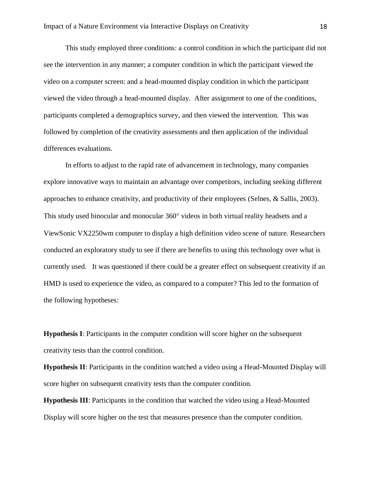This study employed three conditions: a control condition in which the participant did not see the intervention in any manner; a computer condition in which the participant viewed the video on a computer screen: and a head-mounted display condition in which the participant viewed the video through a head-mounted display. After assignment to one of the conditions, participants completed a demographics survey, and then viewed the intervention. This was followed by completion of the creativity assessments and then application of the individual differences evaluations.

In efforts to adjust to the rapid rate of advancement in technology, many companies explore innovative ways to maintain an advantage over competitors, including seeking different approaches to enhance creativity, and productivity of their employees (Selnes, & Sallis, 2003). This study used binocular and monocular 360° videos in both virtual reality headsets and a ViewSonic VX2250wm computer to display a high definition video scene of nature. Researchers conducted an exploratory study to see if there are benefits to using this technology over what is currently used. It was questioned if there could be a greater effect on subsequent creativity if an HMD is used to experience the video, as compared to a computer? This led to the formation of the following hypotheses:

**Hypothesis I**: Participants in the computer condition will score higher on the subsequent creativity tests than the control condition.

**Hypothesis II**: Participants in the condition watched a video using a Head-Mounted Display will score higher on subsequent creativity tests than the computer condition.

**Hypothesis III**: Participants in the condition that watched the video using a Head-Mounted Display will score higher on the test that measures presence than the computer condition.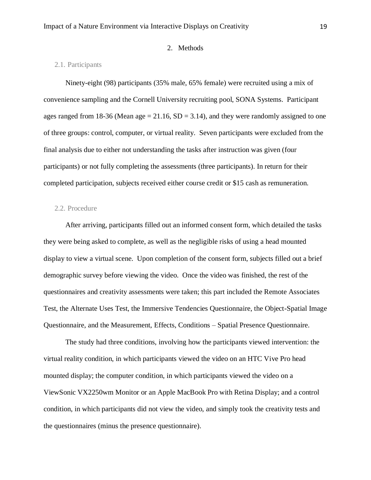### 2. Methods

# 2.1. Participants

Ninety-eight (98) participants (35% male, 65% female) were recruited using a mix of convenience sampling and the Cornell University recruiting pool, SONA Systems. Participant ages ranged from 18-36 (Mean age  $= 21.16$ , SD  $= 3.14$ ), and they were randomly assigned to one of three groups: control, computer, or virtual reality. Seven participants were excluded from the final analysis due to either not understanding the tasks after instruction was given (four participants) or not fully completing the assessments (three participants). In return for their completed participation, subjects received either course credit or \$15 cash as remuneration.

### 2.2. Procedure

After arriving, participants filled out an informed consent form, which detailed the tasks they were being asked to complete, as well as the negligible risks of using a head mounted display to view a virtual scene. Upon completion of the consent form, subjects filled out a brief demographic survey before viewing the video. Once the video was finished, the rest of the questionnaires and creativity assessments were taken; this part included the Remote Associates Test, the Alternate Uses Test, the Immersive Tendencies Questionnaire, the Object-Spatial Image Questionnaire, and the Measurement, Effects, Conditions – Spatial Presence Questionnaire.

The study had three conditions, involving how the participants viewed intervention: the virtual reality condition, in which participants viewed the video on an HTC Vive Pro head mounted display; the computer condition, in which participants viewed the video on a ViewSonic VX2250wm Monitor or an Apple MacBook Pro with Retina Display; and a control condition, in which participants did not view the video, and simply took the creativity tests and the questionnaires (minus the presence questionnaire).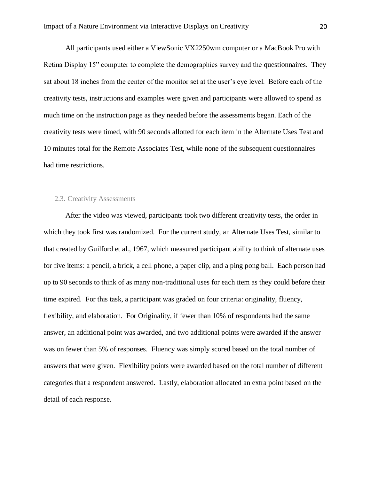All participants used either a ViewSonic VX2250wm computer or a MacBook Pro with Retina Display 15" computer to complete the demographics survey and the questionnaires. They sat about 18 inches from the center of the monitor set at the user's eye level. Before each of the creativity tests, instructions and examples were given and participants were allowed to spend as much time on the instruction page as they needed before the assessments began. Each of the creativity tests were timed, with 90 seconds allotted for each item in the Alternate Uses Test and 10 minutes total for the Remote Associates Test, while none of the subsequent questionnaires had time restrictions.

### 2.3. Creativity Assessments

After the video was viewed, participants took two different creativity tests, the order in which they took first was randomized. For the current study, an Alternate Uses Test, similar to that created by Guilford et al., 1967, which measured participant ability to think of alternate uses for five items: a pencil, a brick, a cell phone, a paper clip, and a ping pong ball. Each person had up to 90 seconds to think of as many non-traditional uses for each item as they could before their time expired. For this task, a participant was graded on four criteria: originality, fluency, flexibility, and elaboration. For Originality, if fewer than 10% of respondents had the same answer, an additional point was awarded, and two additional points were awarded if the answer was on fewer than 5% of responses. Fluency was simply scored based on the total number of answers that were given. Flexibility points were awarded based on the total number of different categories that a respondent answered. Lastly, elaboration allocated an extra point based on the detail of each response.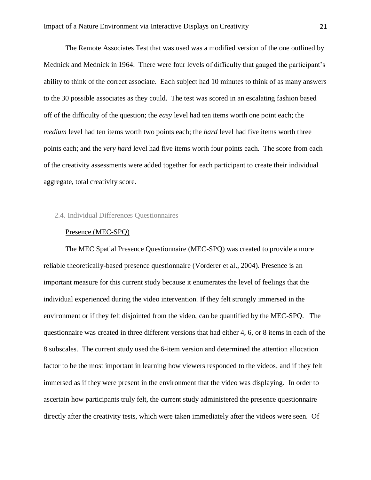The Remote Associates Test that was used was a modified version of the one outlined by Mednick and Mednick in 1964. There were four levels of difficulty that gauged the participant's ability to think of the correct associate. Each subject had 10 minutes to think of as many answers to the 30 possible associates as they could. The test was scored in an escalating fashion based off of the difficulty of the question; the *easy* level had ten items worth one point each; the *medium* level had ten items worth two points each; the *hard* level had five items worth three points each; and the *very hard* level had five items worth four points each. The score from each of the creativity assessments were added together for each participant to create their individual aggregate, total creativity score.

### 2.4. Individual Differences Questionnaires

#### Presence (MEC-SPQ)

The MEC Spatial Presence Questionnaire (MEC-SPQ) was created to provide a more reliable theoretically-based presence questionnaire (Vorderer et al., 2004). Presence is an important measure for this current study because it enumerates the level of feelings that the individual experienced during the video intervention. If they felt strongly immersed in the environment or if they felt disjointed from the video, can be quantified by the MEC-SPQ. The questionnaire was created in three different versions that had either 4, 6, or 8 items in each of the 8 subscales. The current study used the 6-item version and determined the attention allocation factor to be the most important in learning how viewers responded to the videos, and if they felt immersed as if they were present in the environment that the video was displaying. In order to ascertain how participants truly felt, the current study administered the presence questionnaire directly after the creativity tests, which were taken immediately after the videos were seen. Of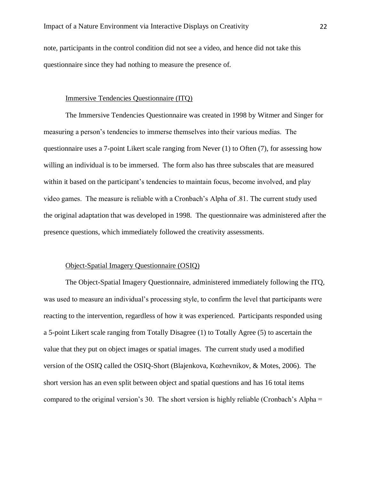note, participants in the control condition did not see a video, and hence did not take this questionnaire since they had nothing to measure the presence of.

### Immersive Tendencies Questionnaire (ITQ)

The Immersive Tendencies Questionnaire was created in 1998 by Witmer and Singer for measuring a person's tendencies to immerse themselves into their various medias. The questionnaire uses a 7-point Likert scale ranging from Never (1) to Often (7), for assessing how willing an individual is to be immersed. The form also has three subscales that are measured within it based on the participant's tendencies to maintain focus, become involved, and play video games. The measure is reliable with a Cronbach's Alpha of .81. The current study used the original adaptation that was developed in 1998. The questionnaire was administered after the presence questions, which immediately followed the creativity assessments.

# Object-Spatial Imagery Questionnaire (OSIQ)

The Object-Spatial Imagery Questionnaire, administered immediately following the ITQ, was used to measure an individual's processing style, to confirm the level that participants were reacting to the intervention, regardless of how it was experienced. Participants responded using a 5-point Likert scale ranging from Totally Disagree (1) to Totally Agree (5) to ascertain the value that they put on object images or spatial images. The current study used a modified version of the OSIQ called the OSIQ-Short (Blajenkova, Kozhevnikov, & Motes, 2006). The short version has an even split between object and spatial questions and has 16 total items compared to the original version's 30. The short version is highly reliable (Cronbach's Alpha =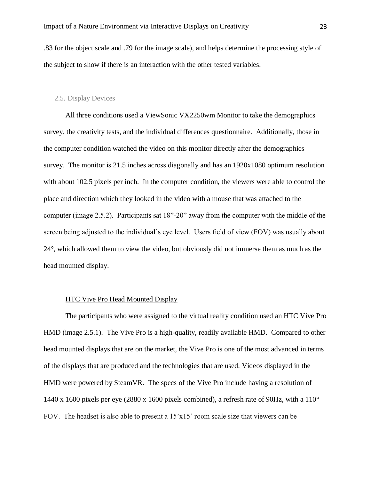.83 for the object scale and .79 for the image scale), and helps determine the processing style of the subject to show if there is an interaction with the other tested variables.

#### 2.5. Display Devices

All three conditions used a ViewSonic VX2250wm Monitor to take the demographics survey, the creativity tests, and the individual differences questionnaire. Additionally, those in the computer condition watched the video on this monitor directly after the demographics survey. The monitor is 21.5 inches across diagonally and has an 1920x1080 optimum resolution with about 102.5 pixels per inch. In the computer condition, the viewers were able to control the place and direction which they looked in the video with a mouse that was attached to the computer (image 2.5.2). Participants sat 18"-20" away from the computer with the middle of the screen being adjusted to the individual's eye level. Users field of view (FOV) was usually about 24°, which allowed them to view the video, but obviously did not immerse them as much as the head mounted display.

#### HTC Vive Pro Head Mounted Display

The participants who were assigned to the virtual reality condition used an HTC Vive Pro HMD (image 2.5.1). The Vive Pro is a high-quality, readily available HMD. Compared to other head mounted displays that are on the market, the Vive Pro is one of the most advanced in terms of the displays that are produced and the technologies that are used. Videos displayed in the HMD were powered by SteamVR. The specs of the Vive Pro include having a resolution of 1440 x 1600 pixels per eye (2880 x 1600 pixels combined), a refresh rate of 90Hz, with a 110° FOV. The headset is also able to present a 15'x15' room scale size that viewers can be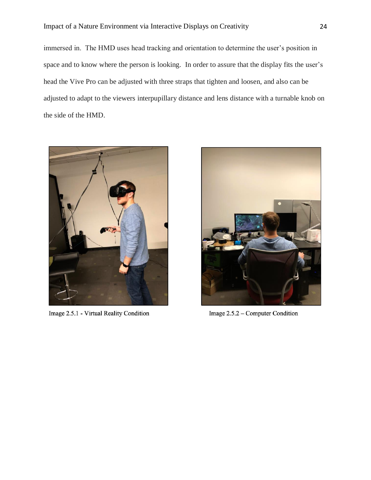# Impact of a Nature Environment via Interactive Displays on Creativity 24

immersed in. The HMD uses head tracking and orientation to determine the user's position in space and to know where the person is looking. In order to assure that the display fits the user's head the Vive Pro can be adjusted with three straps that tighten and loosen, and also can be adjusted to adapt to the viewers interpupillary distance and lens distance with a turnable knob on the side of the HMD.



Image 2.5.1 - Virtual Reality Condition



Image 2.5.2 – Computer Condition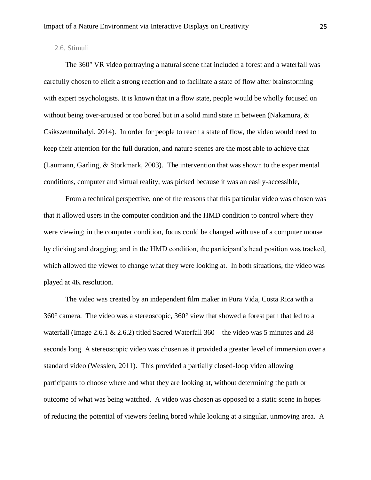# 2.6. Stimuli

The 360° VR video portraying a natural scene that included a forest and a waterfall was carefully chosen to elicit a strong reaction and to facilitate a state of flow after brainstorming with expert psychologists. It is known that in a flow state, people would be wholly focused on without being over-aroused or too bored but in a solid mind state in between (Nakamura, & Csikszentmihalyi, 2014). In order for people to reach a state of flow, the video would need to keep their attention for the full duration, and nature scenes are the most able to achieve that (Laumann, Garling, & Storkmark, 2003). The intervention that was shown to the experimental conditions, computer and virtual reality, was picked because it was an easily-accessible,

From a technical perspective, one of the reasons that this particular video was chosen was that it allowed users in the computer condition and the HMD condition to control where they were viewing; in the computer condition, focus could be changed with use of a computer mouse by clicking and dragging; and in the HMD condition, the participant's head position was tracked, which allowed the viewer to change what they were looking at. In both situations, the video was played at 4K resolution.

The video was created by an independent film maker in Pura Vida, Costa Rica with a 360° camera. The video was a stereoscopic, 360° view that showed a forest path that led to a waterfall (Image 2.6.1 & 2.6.2) titled Sacred Waterfall 360 – the video was 5 minutes and 28 seconds long. A stereoscopic video was chosen as it provided a greater level of immersion over a standard video (Wesslen, 2011). This provided a partially closed-loop video allowing participants to choose where and what they are looking at, without determining the path or outcome of what was being watched. A video was chosen as opposed to a static scene in hopes of reducing the potential of viewers feeling bored while looking at a singular, unmoving area. A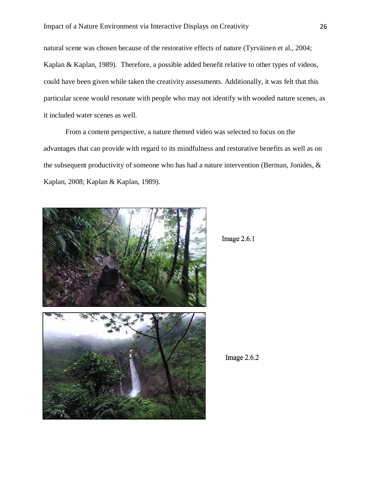natural scene was chosen because of the restorative effects of nature (Tyrväinen et al., 2004; Kaplan & Kaplan, 1989). Therefore, a possible added benefit relative to other types of videos, could have been given while taken the creativity assessments. Additionally, it was felt that this particular scene would resonate with people who may not identify with wooded nature scenes, as it included water scenes as well.

From a content perspective, a nature themed video was selected to focus on the advantages that can provide with regard to its mindfulness and restorative benefits as well as on the subsequent productivity of someone who has had a nature intervention (Berman, Jonides, & Kaplan, 2008; Kaplan & Kaplan, 1989).



```
Image 2.6.1
```
Image  $2.6.2$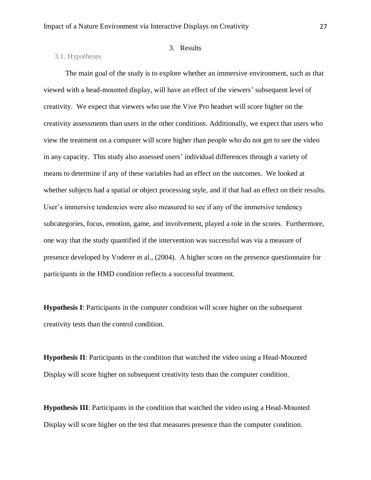#### 3.1. Hypotheses

# 3. Results

The main goal of the study is to explore whether an immersive environment, such as that viewed with a head-mounted display, will have an effect of the viewers' subsequent level of creativity. We expect that viewers who use the Vive Pro headset will score higher on the creativity assessments than users in the other conditions. Additionally, we expect that users who view the treatment on a computer will score higher than people who do not get to see the video in any capacity. This study also assessed users' individual differences through a variety of means to determine if any of these variables had an effect on the outcomes. We looked at whether subjects had a spatial or object processing style, and if that had an effect on their results. User's immersive tendencies were also measured to see if any of the immersive tendency subcategories, focus, emotion, game, and involvement, played a role in the scores. Furthermore, one way that the study quantified if the intervention was successful was via a measure of presence developed by Voderer et al., (2004). A higher score on the presence questionnaire for participants in the HMD condition reflects a successful treatment.

**Hypothesis I**: Participants in the computer condition will score higher on the subsequent creativity tests than the control condition.

**Hypothesis II**: Participants in the condition that watched the video using a Head-Mounted Display will score higher on subsequent creativity tests than the computer condition.

**Hypothesis III**: Participants in the condition that watched the video using a Head-Mounted Display will score higher on the test that measures presence than the computer condition.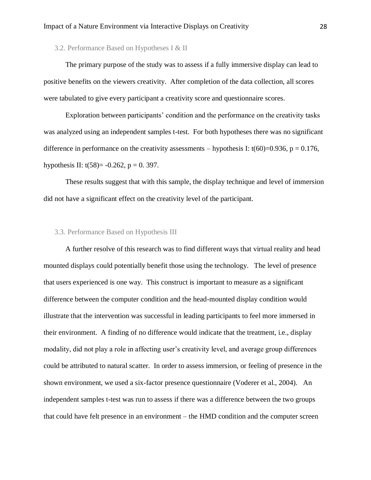3.2. Performance Based on Hypotheses I & II

The primary purpose of the study was to assess if a fully immersive display can lead to positive benefits on the viewers creativity. After completion of the data collection, all scores were tabulated to give every participant a creativity score and questionnaire scores.

Exploration between participants' condition and the performance on the creativity tasks was analyzed using an independent samples t-test. For both hypotheses there was no significant difference in performance on the creativity assessments – hypothesis I:  $t(60)=0.936$ ,  $p = 0.176$ , hypothesis II:  $t(58) = -0.262$ ,  $p = 0.397$ .

These results suggest that with this sample, the display technique and level of immersion did not have a significant effect on the creativity level of the participant.

#### 3.3. Performance Based on Hypothesis III

A further resolve of this research was to find different ways that virtual reality and head mounted displays could potentially benefit those using the technology. The level of presence that users experienced is one way. This construct is important to measure as a significant difference between the computer condition and the head-mounted display condition would illustrate that the intervention was successful in leading participants to feel more immersed in their environment. A finding of no difference would indicate that the treatment, i.e., display modality, did not play a role in affecting user's creativity level, and average group differences could be attributed to natural scatter. In order to assess immersion, or feeling of presence in the shown environment, we used a six-factor presence questionnaire (Voderer et al., 2004). An independent samples t-test was run to assess if there was a difference between the two groups that could have felt presence in an environment – the HMD condition and the computer screen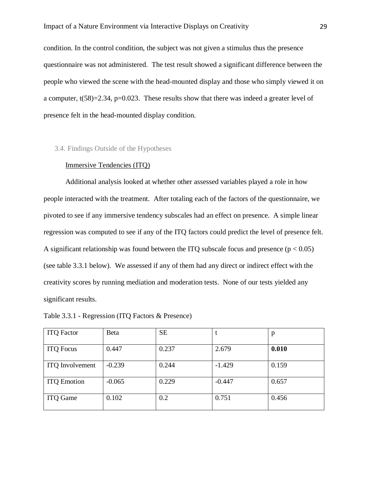condition. In the control condition, the subject was not given a stimulus thus the presence questionnaire was not administered. The test result showed a significant difference between the people who viewed the scene with the head-mounted display and those who simply viewed it on a computer, t(58)=2.34, p=0.023. These results show that there was indeed a greater level of presence felt in the head-mounted display condition.

#### 3.4. Findings Outside of the Hypotheses

#### Immersive Tendencies (ITQ)

Additional analysis looked at whether other assessed variables played a role in how people interacted with the treatment. After totaling each of the factors of the questionnaire, we pivoted to see if any immersive tendency subscales had an effect on presence. A simple linear regression was computed to see if any of the ITQ factors could predict the level of presence felt. A significant relationship was found between the ITQ subscale focus and presence ( $p < 0.05$ ) (see table 3.3.1 below). We assessed if any of them had any direct or indirect effect with the creativity scores by running mediation and moderation tests. None of our tests yielded any significant results.

Table 3.3.1 - Regression (ITQ Factors & Presence)

| <b>ITQ</b> Factor      | <b>B</b> eta | <b>SE</b> |          | p     |
|------------------------|--------------|-----------|----------|-------|
| <b>ITQ</b> Focus       | 0.447        | 0.237     | 2.679    | 0.010 |
| <b>ITQ</b> Involvement | $-0.239$     | 0.244     | $-1.429$ | 0.159 |
| <b>ITQ Emotion</b>     | $-0.065$     | 0.229     | $-0.447$ | 0.657 |
| <b>ITQ</b> Game        | 0.102        | 0.2       | 0.751    | 0.456 |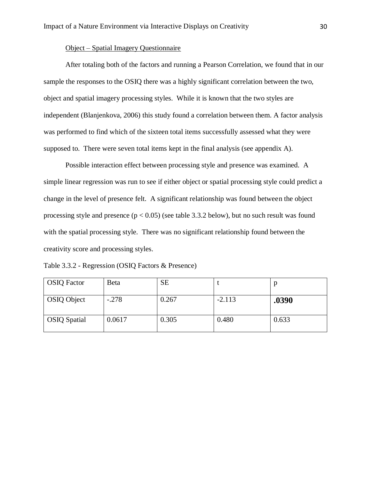# Object – Spatial Imagery Questionnaire

After totaling both of the factors and running a Pearson Correlation, we found that in our sample the responses to the OSIQ there was a highly significant correlation between the two, object and spatial imagery processing styles. While it is known that the two styles are independent (Blanjenkova, 2006) this study found a correlation between them. A factor analysis was performed to find which of the sixteen total items successfully assessed what they were supposed to. There were seven total items kept in the final analysis (see appendix A).

Possible interaction effect between processing style and presence was examined. A simple linear regression was run to see if either object or spatial processing style could predict a change in the level of presence felt. A significant relationship was found between the object processing style and presence  $(p < 0.05)$  (see table 3.3.2 below), but no such result was found with the spatial processing style. There was no significant relationship found between the creativity score and processing styles.

|  |  | Table 3.3.2 - Regression (OSIQ Factors & Presence) |  |
|--|--|----------------------------------------------------|--|
|--|--|----------------------------------------------------|--|

| <b>OSIQ</b> Factor  | Beta    | <b>SE</b> |          |       |
|---------------------|---------|-----------|----------|-------|
| <b>OSIQ Object</b>  | $-.278$ | 0.267     | $-2.113$ | .0390 |
| <b>OSIQ</b> Spatial | 0.0617  | 0.305     | 0.480    | 0.633 |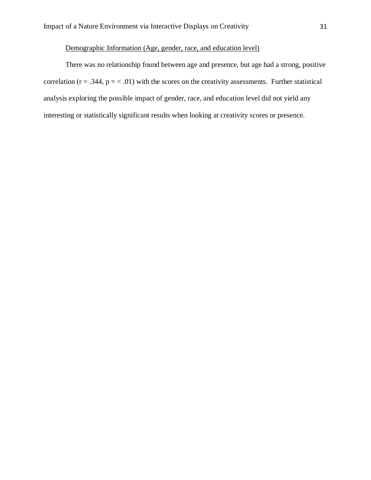# Demographic Information (Age, gender, race, and education level)

There was no relationship found between age and presence, but age had a strong, positive correlation ( $r = .344$ ,  $p = < .01$ ) with the scores on the creativity assessments. Further statistical analysis exploring the possible impact of gender, race, and education level did not yield any interesting or statistically significant results when looking at creativity scores or presence.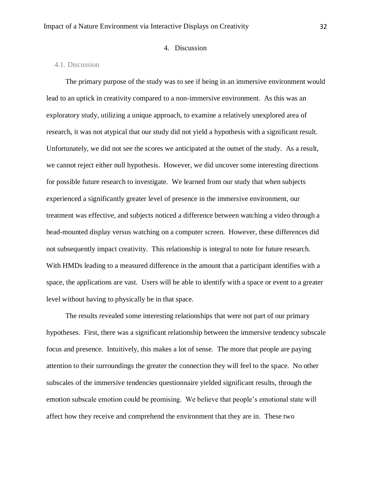# 4. Discussion

# 4.1. Discussion

The primary purpose of the study was to see if being in an immersive environment would lead to an uptick in creativity compared to a non-immersive environment. As this was an exploratory study, utilizing a unique approach, to examine a relatively unexplored area of research, it was not atypical that our study did not yield a hypothesis with a significant result. Unfortunately, we did not see the scores we anticipated at the outset of the study. As a result, we cannot reject either null hypothesis. However, we did uncover some interesting directions for possible future research to investigate. We learned from our study that when subjects experienced a significantly greater level of presence in the immersive environment, our treatment was effective, and subjects noticed a difference between watching a video through a head-mounted display versus watching on a computer screen. However, these differences did not subsequently impact creativity. This relationship is integral to note for future research. With HMDs leading to a measured difference in the amount that a participant identifies with a space, the applications are vast. Users will be able to identify with a space or event to a greater level without having to physically be in that space.

The results revealed some interesting relationships that were not part of our primary hypotheses. First, there was a significant relationship between the immersive tendency subscale focus and presence. Intuitively, this makes a lot of sense. The more that people are paying attention to their surroundings the greater the connection they will feel to the space. No other subscales of the immersive tendencies questionnaire yielded significant results, through the emotion subscale emotion could be promising. We believe that people's emotional state will affect how they receive and comprehend the environment that they are in. These two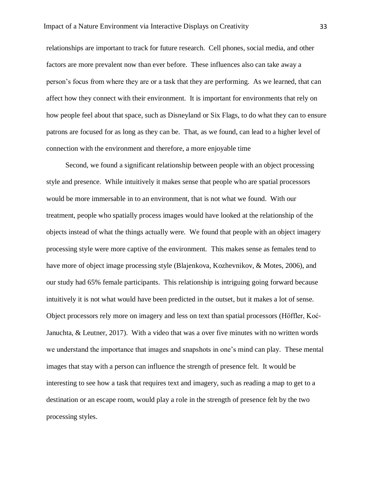relationships are important to track for future research. Cell phones, social media, and other factors are more prevalent now than ever before. These influences also can take away a person's focus from where they are or a task that they are performing. As we learned, that can affect how they connect with their environment. It is important for environments that rely on how people feel about that space, such as Disneyland or Six Flags, to do what they can to ensure patrons are focused for as long as they can be. That, as we found, can lead to a higher level of connection with the environment and therefore, a more enjoyable time

Second, we found a significant relationship between people with an object processing style and presence. While intuitively it makes sense that people who are spatial processors would be more immersable in to an environment, that is not what we found. With our treatment, people who spatially process images would have looked at the relationship of the objects instead of what the things actually were. We found that people with an object imagery processing style were more captive of the environment. This makes sense as females tend to have more of object image processing style (Blajenkova, Kozhevnikov, & Motes, 2006), and our study had 65% female participants. This relationship is intriguing going forward because intuitively it is not what would have been predicted in the outset, but it makes a lot of sense. Object processors rely more on imagery and less on text than spatial processors (Höffler, Koć‐ Januchta, & Leutner, 2017). With a video that was a over five minutes with no written words we understand the importance that images and snapshots in one's mind can play. These mental images that stay with a person can influence the strength of presence felt. It would be interesting to see how a task that requires text and imagery, such as reading a map to get to a destination or an escape room, would play a role in the strength of presence felt by the two processing styles.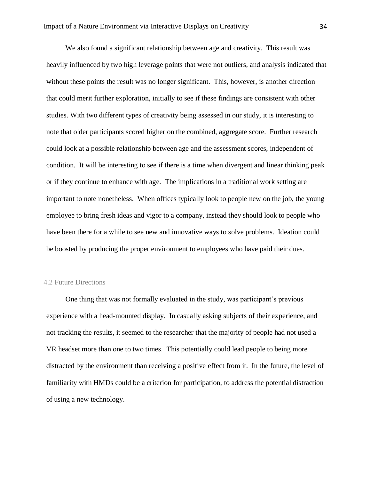We also found a significant relationship between age and creativity. This result was heavily influenced by two high leverage points that were not outliers, and analysis indicated that without these points the result was no longer significant. This, however, is another direction that could merit further exploration, initially to see if these findings are consistent with other studies. With two different types of creativity being assessed in our study, it is interesting to note that older participants scored higher on the combined, aggregate score. Further research could look at a possible relationship between age and the assessment scores, independent of condition. It will be interesting to see if there is a time when divergent and linear thinking peak or if they continue to enhance with age. The implications in a traditional work setting are important to note nonetheless. When offices typically look to people new on the job, the young employee to bring fresh ideas and vigor to a company, instead they should look to people who have been there for a while to see new and innovative ways to solve problems. Ideation could be boosted by producing the proper environment to employees who have paid their dues.

### 4.2 Future Directions

One thing that was not formally evaluated in the study, was participant's previous experience with a head-mounted display. In casually asking subjects of their experience, and not tracking the results, it seemed to the researcher that the majority of people had not used a VR headset more than one to two times. This potentially could lead people to being more distracted by the environment than receiving a positive effect from it. In the future, the level of familiarity with HMDs could be a criterion for participation, to address the potential distraction of using a new technology.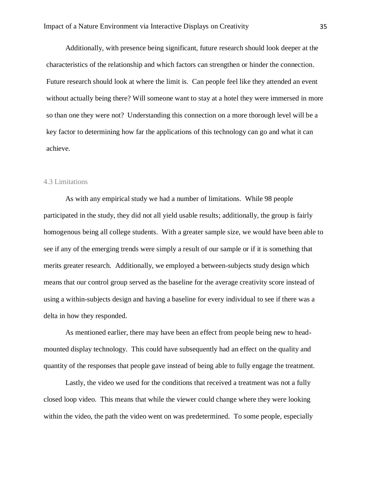Additionally, with presence being significant, future research should look deeper at the characteristics of the relationship and which factors can strengthen or hinder the connection. Future research should look at where the limit is. Can people feel like they attended an event without actually being there? Will someone want to stay at a hotel they were immersed in more so than one they were not? Understanding this connection on a more thorough level will be a key factor to determining how far the applications of this technology can go and what it can achieve.

### 4.3 Limitations

As with any empirical study we had a number of limitations. While 98 people participated in the study, they did not all yield usable results; additionally, the group is fairly homogenous being all college students. With a greater sample size, we would have been able to see if any of the emerging trends were simply a result of our sample or if it is something that merits greater research. Additionally, we employed a between-subjects study design which means that our control group served as the baseline for the average creativity score instead of using a within-subjects design and having a baseline for every individual to see if there was a delta in how they responded.

As mentioned earlier, there may have been an effect from people being new to headmounted display technology. This could have subsequently had an effect on the quality and quantity of the responses that people gave instead of being able to fully engage the treatment.

Lastly, the video we used for the conditions that received a treatment was not a fully closed loop video. This means that while the viewer could change where they were looking within the video, the path the video went on was predetermined. To some people, especially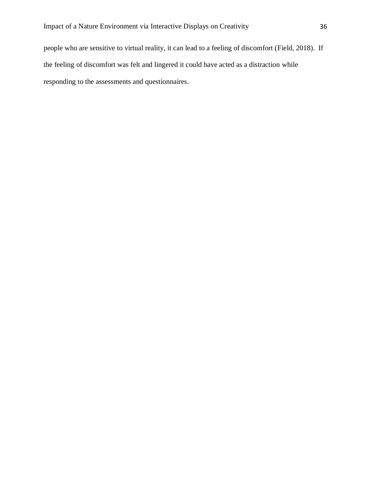people who are sensitive to virtual reality, it can lead to a feeling of discomfort (Field, 2018). If the feeling of discomfort was felt and lingered it could have acted as a distraction while responding to the assessments and questionnaires.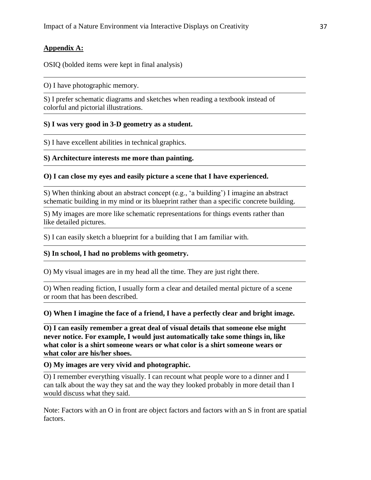# **Appendix A:**

OSIQ (bolded items were kept in final analysis)

O) I have photographic memory.

S) I prefer schematic diagrams and sketches when reading a textbook instead of colorful and pictorial illustrations.

# **S) I was very good in 3-D geometry as a student.**

S) I have excellent abilities in technical graphics.

# **S) Architecture interests me more than painting.**

# **O) I can close my eyes and easily picture a scene that I have experienced.**

S) When thinking about an abstract concept (e.g., 'a building') I imagine an abstract schematic building in my mind or its blueprint rather than a specific concrete building.

S) My images are more like schematic representations for things events rather than like detailed pictures.

S) I can easily sketch a blueprint for a building that I am familiar with.

# **S) In school, I had no problems with geometry.**

O) My visual images are in my head all the time. They are just right there.

O) When reading fiction, I usually form a clear and detailed mental picture of a scene or room that has been described.

**O) When I imagine the face of a friend, I have a perfectly clear and bright image.**

**O) I can easily remember a great deal of visual details that someone else might never notice. For example, I would just automatically take some things in, like what color is a shirt someone wears or what color is a shirt someone wears or what color are his/her shoes.**

# **O) My images are very vivid and photographic.**

O) I remember everything visually. I can recount what people wore to a dinner and I can talk about the way they sat and the way they looked probably in more detail than I would discuss what they said.

Note: Factors with an O in front are object factors and factors with an S in front are spatial factors.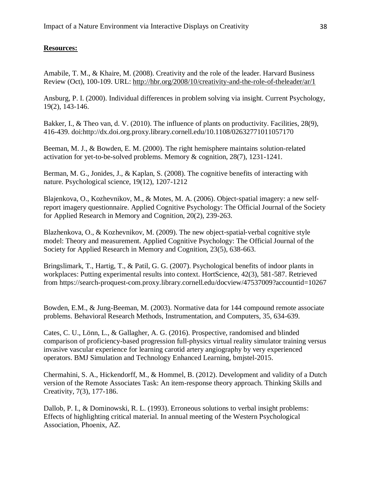# **Resources:**

Amabile, T. M., & Khaire, M. (2008). Creativity and the role of the leader. Harvard Business Review (Oct), 100-109. URL:<http://hbr.org/2008/10/creativity-and-the-role-of-theleader/ar/1>

Ansburg, P. I. (2000). Individual differences in problem solving via insight. Current Psychology, 19(2), 143-146.

Bakker, I., & Theo van, d. V. (2010). The influence of plants on productivity. Facilities, 28(9), 416-439. doi:http://dx.doi.org.proxy.library.cornell.edu/10.1108/02632771011057170

Beeman, M. J., & Bowden, E. M. (2000). The right hemisphere maintains solution-related activation for yet-to-be-solved problems. Memory & cognition, 28(7), 1231-1241.

Berman, M. G., Jonides, J., & Kaplan, S. (2008). The cognitive benefits of interacting with nature. Psychological science, 19(12), 1207-1212

Blajenkova, O., Kozhevnikov, M., & Motes, M. A. (2006). Object-spatial imagery: a new selfreport imagery questionnaire. Applied Cognitive Psychology: The Official Journal of the Society for Applied Research in Memory and Cognition, 20(2), 239-263.

Blazhenkova, O., & Kozhevnikov, M. (2009). The new object‐spatial‐verbal cognitive style model: Theory and measurement. Applied Cognitive Psychology: The Official Journal of the Society for Applied Research in Memory and Cognition, 23(5), 638-663.

Bringslimark, T., Hartig, T., & Patil, G. G. (2007). Psychological benefits of indoor plants in workplaces: Putting experimental results into context. HortScience, 42(3), 581-587. Retrieved from https://search-proquest-com.proxy.library.cornell.edu/docview/47537009?accountid=10267

Bowden, E.M., & Jung-Beeman, M. (2003). Normative data for 144 compound remote associate problems. Behavioral Research Methods, Instrumentation, and Computers, 35, 634-639.

Cates, C. U., Lönn, L., & Gallagher, A. G. (2016). Prospective, randomised and blinded comparison of proficiency-based progression full-physics virtual reality simulator training versus invasive vascular experience for learning carotid artery angiography by very experienced operators. BMJ Simulation and Technology Enhanced Learning, bmjstel-2015.

Chermahini, S. A., Hickendorff, M., & Hommel, B. (2012). Development and validity of a Dutch version of the Remote Associates Task: An item-response theory approach. Thinking Skills and Creativity, 7(3), 177-186.

Dallob, P. I., & Dominowski, R. L. (1993). Erroneous solutions to verbal insight problems: Effects of highlighting critical material. In annual meeting of the Western Psychological Association, Phoenix, AZ.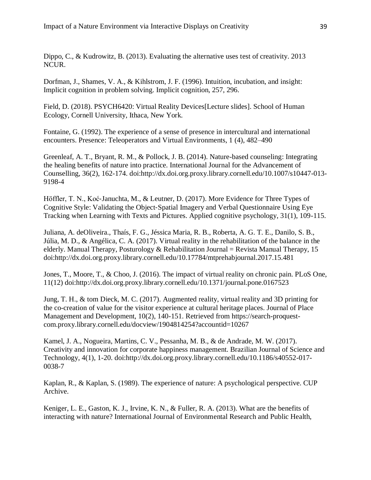Dippo, C., & Kudrowitz, B. (2013). Evaluating the alternative uses test of creativity. 2013 NCUR.

Dorfman, J., Shames, V. A., & Kihlstrom, J. F. (1996). Intuition, incubation, and insight: Implicit cognition in problem solving. Implicit cognition, 257, 296.

Field, D. (2018). PSYCH6420: Virtual Reality Devices[Lecture slides]. School of Human Ecology, Cornell University, Ithaca, New York.

Fontaine, G. (1992). The experience of a sense of presence in intercultural and international encounters. Presence: Teleoperators and Virtual Environments, 1 (4), 482–490

Greenleaf, A. T., Bryant, R. M., & Pollock, J. B. (2014). Nature-based counseling: Integrating the healing benefits of nature into practice. International Journal for the Advancement of Counselling, 36(2), 162-174. doi:http://dx.doi.org.proxy.library.cornell.edu/10.1007/s10447-013- 9198-4

Höffler, T. N., Koć-Januchta, M., & Leutner, D. (2017). More Evidence for Three Types of Cognitive Style: Validating the Object‐Spatial Imagery and Verbal Questionnaire Using Eye Tracking when Learning with Texts and Pictures. Applied cognitive psychology, 31(1), 109-115.

Juliana, A. deOliveira., Thaís, F. G., Jéssica Maria, R. B., Roberta, A. G. T. E., Danilo, S. B., Júlia, M. D., & Angélica, C. A. (2017). Virtual reality in the rehabilitation of the balance in the elderly. Manual Therapy, Posturology & Rehabilitation Journal = Revista Manual Therapy, 15 doi:http://dx.doi.org.proxy.library.cornell.edu/10.17784/mtprehabjournal.2017.15.481

Jones, T., Moore, T., & Choo, J. (2016). The impact of virtual reality on chronic pain. PLoS One, 11(12) doi:http://dx.doi.org.proxy.library.cornell.edu/10.1371/journal.pone.0167523

Jung, T. H., & tom Dieck, M. C. (2017). Augmented reality, virtual reality and 3D printing for the co-creation of value for the visitor experience at cultural heritage places. Journal of Place Management and Development, 10(2), 140-151. Retrieved from https://search-proquestcom.proxy.library.cornell.edu/docview/1904814254?accountid=10267

Kamel, J. A., Nogueira, Martins, C. V., Pessanha, M. B., & de Andrade, M. W. (2017). Creativity and innovation for corporate happiness management. Brazilian Journal of Science and Technology, 4(1), 1-20. doi:http://dx.doi.org.proxy.library.cornell.edu/10.1186/s40552-017- 0038-7

Kaplan, R., & Kaplan, S. (1989). The experience of nature: A psychological perspective. CUP Archive.

Keniger, L. E., Gaston, K. J., Irvine, K. N., & Fuller, R. A. (2013). What are the benefits of interacting with nature? International Journal of Environmental Research and Public Health,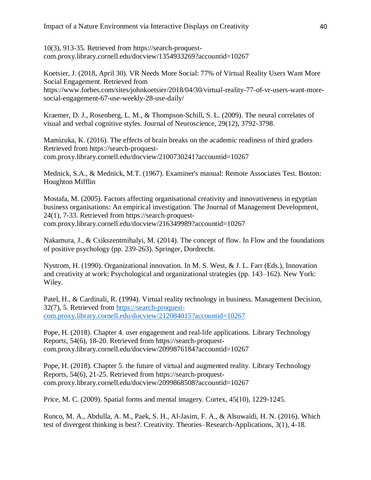10(3), 913-35. Retrieved from https://search-proquestcom.proxy.library.cornell.edu/docview/1354933269?accountid=10267

Koetsier, J. (2018, April 30). VR Needs More Social: 77% of Virtual Reality Users Want More Social Engagement. Retrieved from https://www.forbes.com/sites/johnkoetsier/2018/04/30/virtual-reality-77-of-vr-users-want-moresocial-engagement-67-use-weekly-28-use-daily/

Kraemer, D. J., Rosenberg, L. M., & Thompson-Schill, S. L. (2009). The neural correlates of visual and verbal cognitive styles. Journal of Neuroscience, 29(12), 3792-3798.

Mamizuka, K. (2016). The effects of brain breaks on the academic readiness of third graders Retrieved from https://search-proquestcom.proxy.library.cornell.edu/docview/2100730241?accountid=10267

Mednick, S.A., & Mednick, M.T. (1967). Examiner's manual: Remote Associates Test. Boston: Houghton Mifflin

Mostafa, M. (2005). Factors affecting organisational creativity and innovativeness in egyptian business organisations: An empirical investigation. The Journal of Management Development, 24(1), 7-33. Retrieved from https://search-proquestcom.proxy.library.cornell.edu/docview/216349989?accountid=10267

Nakamura, J., & Csikszentmihalyi, M. (2014). The concept of flow. In Flow and the foundations of positive psychology (pp. 239-263). Springer, Dordrecht.

Nystrom, H. (1990). Organizational innovation. In M. S. West, & J. L. Farr (Eds.), Innovation and creativity at work: Psychological and organizational strategies (pp. 143–162). New York: Wiley.

Patel, H., & Cardinali, R. (1994). Virtual reality technology in business. Management Decision, 32(7), 5. Retrieved from [https://search-proquest](https://search-proquest-com.proxy.library.cornell.edu/docview/212084015?accountid=10267)[com.proxy.library.cornell.edu/docview/212084015?accountid=10267](https://search-proquest-com.proxy.library.cornell.edu/docview/212084015?accountid=10267)

Pope, H. (2018). Chapter 4. user engagement and real-life applications. Library Technology Reports, 54(6), 18-20. Retrieved from https://search-proquestcom.proxy.library.cornell.edu/docview/2099876184?accountid=10267

Pope, H. (2018). Chapter 5. the future of virtual and augmented reality. Library Technology Reports, 54(6), 21-25. Retrieved from https://search-proquestcom.proxy.library.cornell.edu/docview/2099868508?accountid=10267

Price, M. C. (2009). Spatial forms and mental imagery. Cortex, 45(10), 1229-1245.

Runco, M. A., Abdulla, A. M., Paek, S. H., Al-Jasim, F. A., & Alsuwaidi, H. N. (2016). Which test of divergent thinking is best?. Creativity. Theories–Research-Applications, 3(1), 4-18.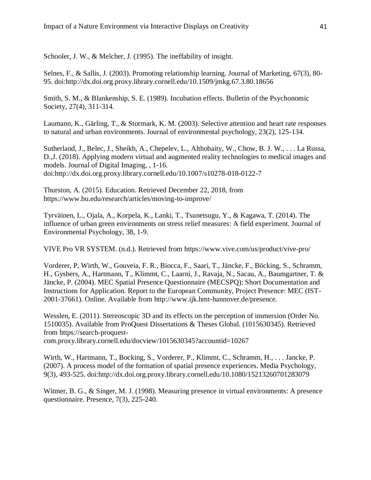Schooler, J. W., & Melcher, J. (1995). The ineffability of insight.

Selnes, F., & Sallis, J. (2003). Promoting relationship learning. Journal of Marketing, 67(3), 80- 95. doi:http://dx.doi.org.proxy.library.cornell.edu/10.1509/jmkg.67.3.80.18656

Smith, S. M., & Blankenship, S. E. (1989). Incubation effects. Bulletin of the Psychonomic Society, 27(4), 311-314.

Laumann, K., Gärling, T., & Stormark, K. M. (2003). Selective attention and heart rate responses to natural and urban environments. Journal of environmental psychology, 23(2), 125-134.

Sutherland, J., Belec, J., Sheikh, A., Chepelev, L., Althobaity, W., Chow, B. J. W., . . . La Russa, D.,J. (2018). Applying modern virtual and augmented reality technologies to medical images and models. Journal of Digital Imaging, , 1-16. doi:http://dx.doi.org.proxy.library.cornell.edu/10.1007/s10278-018-0122-7

Thurston, A. (2015). Education. Retrieved December 22, 2018, from https://www.bu.edu/research/articles/moving-to-improve/

Tyrväinen, L., Ojala, A., Korpela, K., Lanki, T., Tsunetsugu, Y., & Kagawa, T. (2014). The influence of urban green environments on stress relief measures: A field experiment. Journal of Environmental Psychology, 38, 1-9.

VIVE Pro VR SYSTEM. (n.d.). Retrieved from <https://www.vive.com/us/product/vive-pro/>

Vorderer, P, Wirth, W., Gouveia, F. R., Biocca, F., Saari, T., Jäncke, F., Böcking, S., Schramm, H., Gysbers, A., Hartmann, T., Klimmt, C., Laarni, J., Ravaja, N., Sacau, A., Baumgartner, T. & Jäncke, P. (2004). MEC Spatial Presence Questionnaire (MECSPQ): Short Documentation and Instructions for Application. Report to the European Community, Project Presence: MEC (IST-2001-37661). Online. Available from http://www.ijk.hmt-hannover.de/presence.

Wesslen, E. (2011). Stereoscopic 3D and its effects on the perception of immersion (Order No. 1510035). Available from ProQuest Dissertations & Theses Global. (1015630345). Retrieved from https://search-proquest-

com.proxy.library.cornell.edu/docview/1015630345?accountid=10267

Wirth, W., Hartmann, T., Bocking, S., Vorderer, P., Klimmt, C., Schramm, H., . . . Jancke, P. (2007). A process model of the formation of spatial presence experiences. Media Psychology, 9(3), 493-525. doi:http://dx.doi.org.proxy.library.cornell.edu/10.1080/15213260701283079

Witmer, B. G., & Singer, M. J. (1998). Measuring presence in virtual environments: A presence questionnaire. Presence, 7(3), 225-240.